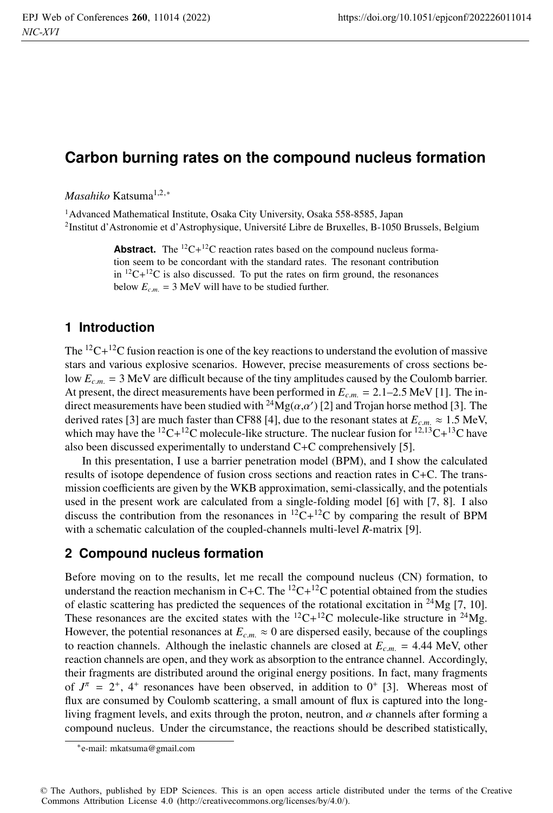# **Carbon burning rates on the compound nucleus formation**

*Masahiko* Katsuma<sup>1,2,∗</sup>

<sup>1</sup> Advanced Mathematical Institute, Osaka City University, Osaka 558-8585, Japan 2Institut d'Astronomie et d'Astrophysique, Université Libre de Bruxelles, B-1050 Brussels, Belgium

> **Abstract.** The  ${}^{12}C+{}^{12}C$  reaction rates based on the compound nucleus formation seem to be concordant with the standard rates. The resonant contribution in  ${}^{12}C+{}^{12}C$  is also discussed. To put the rates on firm ground, the resonances below  $E_{c.m.} = 3$  MeV will have to be studied further.

# **1 Introduction**

The  $12C+12C$  fusion reaction is one of the key reactions to understand the evolution of massive stars and various explosive scenarios. However, precise measurements of cross sections below  $E_{cm} = 3$  MeV are difficult because of the tiny amplitudes caused by the Coulomb barrier. At present, the direct measurements have been performed in  $E_{c.m.} = 2.1{\text -}2.5$  MeV [1]. The indirect measurements have been studied with  $^{24}Mg(\alpha,\alpha')$  [2] and Trojan horse method [3]. The derived rates [3] are much faster than CF88 [4], due to the resonant states at  $E_{c.m.} \approx 1.5$  MeV, which may have the <sup>12</sup>C+<sup>12</sup>C molecule-like structure. The nuclear fusion for <sup>12,13</sup>C+<sup>13</sup>C have also been discussed experimentally to understand C+C comprehensively [5].

In this presentation, I use a barrier penetration model (BPM), and I show the calculated results of isotope dependence of fusion cross sections and reaction rates in C+C. The transmission coefficients are given by the WKB approximation, semi-classically, and the potentials used in the present work are calculated from a single-folding model [6] with [7, 8]. I also discuss the contribution from the resonances in  ${}^{12}C+{}^{12}C$  by comparing the result of BPM with a schematic calculation of the coupled-channels multi-level *R*-matrix [9].

## **2 Compound nucleus formation**

Before moving on to the results, let me recall the compound nucleus (CN) formation, to understand the reaction mechanism in C+C. The  ${}^{12}C+{}^{12}C$  potential obtained from the studies of elastic scattering has predicted the sequences of the rotational excitation in  $^{24}Mg$  [7, 10]. These resonances are the excited states with the  ${}^{12}C+{}^{12}C$  molecule-like structure in  ${}^{24}Mg$ . However, the potential resonances at  $E_{c.m.} \approx 0$  are dispersed easily, because of the couplings to reaction channels. Although the inelastic channels are closed at  $E_{c.m.} = 4.44$  MeV, other reaction channels are open, and they work as absorption to the entrance channel. Accordingly, their fragments are distributed around the original energy positions. In fact, many fragments of  $J^{\pi} = 2^{+}$ , 4<sup>+</sup> resonances have been observed, in addition to 0<sup>+</sup> [3]. Whereas most of flux are consumed by Coulomb scattering, a small amount of flux is captured into the longliving fragment levels, and exits through the proton, neutron, and  $\alpha$  channels after forming a compound nucleus. Under the circumstance, the reactions should be described statistically,

<sup>∗</sup>e-mail: mkatsuma@gmail.com

<sup>©</sup> The Authors, published by EDP Sciences. This is an open access article distributed under the terms of the Creative Commons Attribution License 4.0 (http://creativecommons.org/licenses/by/4.0/).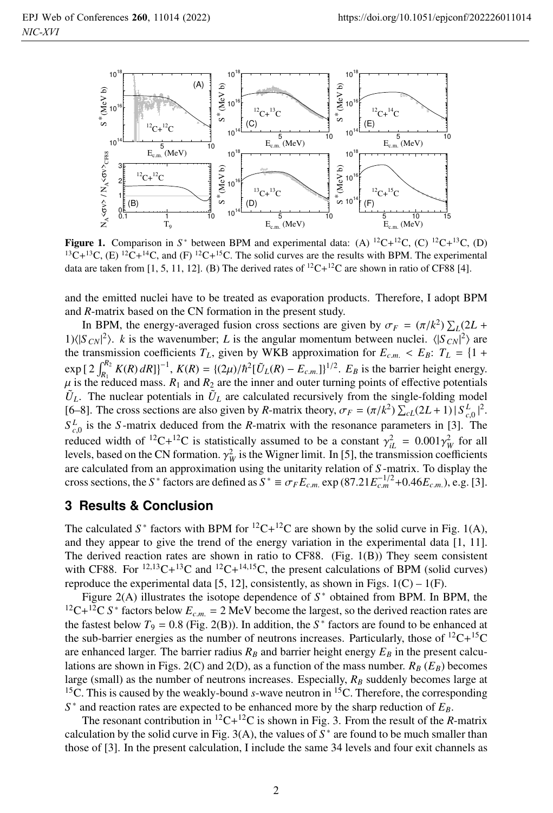

**Figure 1.** Comparison in *S*<sup>\*</sup> between BPM and experimental data: (A) <sup>12</sup>C+<sup>12</sup>C, (C) <sup>12</sup>C+<sup>13</sup>C, (D) <sup>13</sup>C+<sup>13</sup>C, (E) <sup>12</sup>C+<sup>14</sup>C, and (F) <sup>12</sup>C+<sup>15</sup>C. The solid curves are the results with BPM. The experimental data are taken from [1, 5, 11, 12]. (B) The derived rates of  ${}^{12}C+{}^{12}C$  are shown in ratio of CF88 [4].

and the emitted nuclei have to be treated as evaporation products. Therefore, I adopt BPM and *R*-matrix based on the CN formation in the present study.

In BPM, the energy-averaged fusion cross sections are given by  $\sigma_F = (\pi/k^2) \sum_L (2L +$ 1) $(|S_{CN}|^2)$ . *k* is the wavenumber; *L* is the angular momentum between nuclei.  $(|S_{CN}|^2)$  are the transmission coefficients  $T_L$ , given by WKB approximation for  $E_{c.m.} < E_B$ :  $T_L = \{1 +$  $\exp \left[ 2 \int_{R_1}^{R_2} K(R) dR \right]^{-1}$ ,  $K(R) = \{ (2\mu)/\hbar^2 [\tilde{U}_L(R) - E_{c.m.}] \}^{1/2}$ .  $E_B$  is the barrier height energy.  $\mu$  is the reduced mass.  $R_1$  and  $R_2$  are the inner and outer turning points of effective potentials  $\tilde{U}_L$ . The nuclear potentials in  $\tilde{U}_L$  are calculated recursively from the single-folding model [6–8]. The cross sections are also given by *R*-matrix theory,  $\sigma_F = (\pi/k^2) \sum_{c} (2L+1) |S_{c,0}^L|^2$ .  $S_{c,0}^L$  is the *S*-matrix deduced from the *R*-matrix with the resonance parameters in [3]. The reduced width of <sup>12</sup>C+<sup>12</sup>C is statistically assumed to be a constant  $\gamma_{iL}^2 = 0.001 \gamma_W^2$  for all levels, based on the CN formation.  $\gamma_W^2$  is the Wigner limit. In [5], the transmission coefficients are calculated from an approximation using the unitarity relation of *S* -matrix. To display the cross sections, the *S*<sup>\*</sup> factors are defined as  $S^* \equiv \sigma_F E_{c.m.} \exp(87.21 E_{c.m}^{-1/2} + 0.46 E_{c.m.})$ , e.g. [3].

### **3 Results & Conclusion**

The calculated  $S^*$  factors with BPM for <sup>12</sup>C+<sup>12</sup>C are shown by the solid curve in Fig. 1(A), and they appear to give the trend of the energy variation in the experimental data [1, 11]. The derived reaction rates are shown in ratio to  $CF88$ . (Fig. 1(B)) They seem consistent with CF88. For  $^{12,13}C+^{13}C$  and  $^{12}C+^{14,15}C$ , the present calculations of BPM (solid curves) reproduce the experimental data [5, 12], consistently, as shown in Figs.  $1(C) - 1(F)$ .

Figure 2(A) illustrates the isotope dependence of  $S^*$  obtained from BPM. In BPM, the <sup>12</sup>C+<sup>12</sup>C *S*<sup>\*</sup> factors below  $E_{cm} = 2$  MeV become the largest, so the derived reaction rates are the fastest below  $T_9 = 0.8$  (Fig. 2(B)). In addition, the  $S^*$  factors are found to be enhanced at the sub-barrier energies as the number of neutrons increases. Particularly, those of  ${}^{12}C+{}^{15}C$ are enhanced larger. The barrier radius  $R_B$  and barrier height energy  $E_B$  in the present calculations are shown in Figs. 2(C) and 2(D), as a function of the mass number.  $R_B(E_B)$  becomes large (small) as the number of neutrons increases. Especially,  $R_B$  suddenly becomes large at <sup>15</sup>C. This is caused by the weakly-bound *s*-wave neutron in <sup>15</sup>C. Therefore, the corresponding  $S^*$  and reaction rates are expected to be enhanced more by the sharp reduction of  $E_B$ .

The resonant contribution in  ${}^{12}C+{}^{12}C$  is shown in Fig. 3. From the result of the *R*-matrix calculation by the solid curve in Fig.  $3(A)$ , the values of  $S^*$  are found to be much smaller than those of [3]. In the present calculation, I include the same 34 levels and four exit channels as